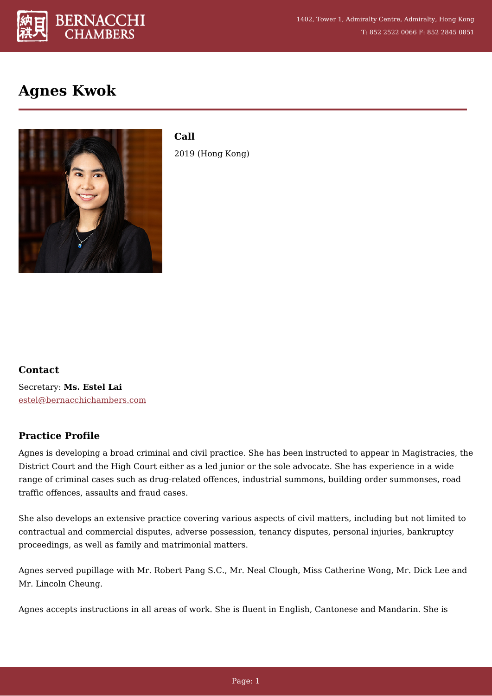

# **Agnes Kwok**



**Call** 2019 (Hong Kong)

## **Contact**

Secretary: **Ms. Estel Lai** [estel@bernacchichambers.com](mailto:estel@bernacchichambers.com)

## **[Practice Profile](#page--1-0)**

Agnes is developing a broad criminal and civil practice. She has been instructed to appear in Magistracies, the District Court and the High Court either as a led junior or the sole advocate. She has experience in a wide range of criminal cases such as drug-related offences, industrial summons, building order summonses, road traffic offences, assaults and fraud cases.

She also develops an extensive practice covering various aspects of civil matters, including but not limited to contractual and commercial disputes, adverse possession, tenancy disputes, personal injuries, bankruptcy proceedings, as well as family and matrimonial matters.

Agnes served pupillage with Mr. Robert Pang S.C., Mr. Neal Clough, Miss Catherine Wong, Mr. Dick Lee and Mr. Lincoln Cheung.

Agnes accepts instructions in all areas of work. She is fluent in English, Cantonese and Mandarin. She is